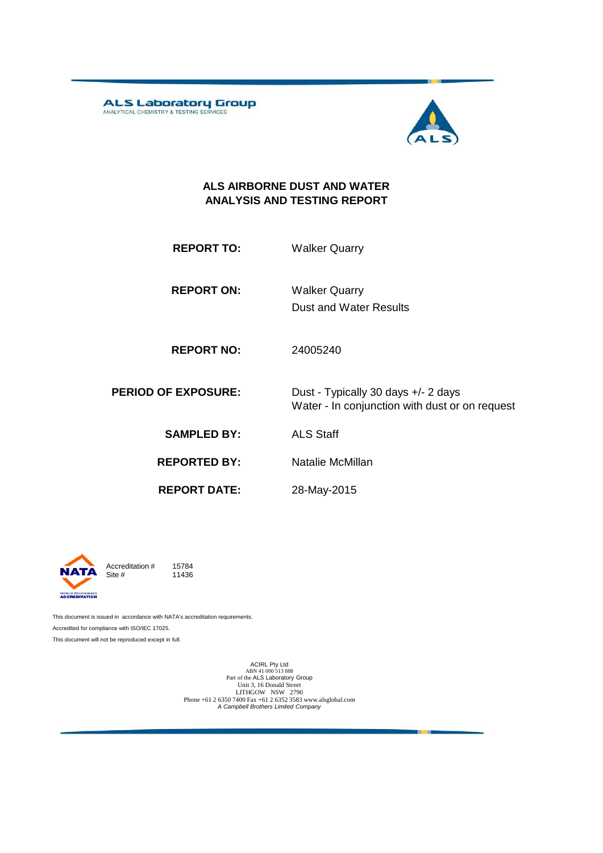ALS Laboratory Group



#### **ALS AIRBORNE DUST AND WATER ANALYSIS AND TESTING REPORT**

| <b>REPORT TO:</b> | <b>Walker Quarry</b> |
|-------------------|----------------------|
|                   |                      |

**REPORT ON:** Dust and Water Results Walker Quarry

**REPORT NO:** 24005240

**PERIOD OF EXPOSURE:** Dust - Typically 30 days +/- 2 days Water - In conjunction with dust or on request

**SAMPLED BY:** ALS Staff

**REPORTED BY:** Natalie McMillan

**REPORT DATE:**

28-May-2015



Accreditation  $\#$  15784<br>Site  $\#$  11436 11436

This document is issued in accordance with NATA's accreditation requirements. Accredited for compliance with ISO/IEC 17025. This document will not be reproduced except in full.

> ACIRL Pty Ltd<br>ABN 41 000 513 888<br>Part of the ALS Laboratory Group Unit 3, 16 Donald Street LITHGOW NSW 2790 Phone +61 2 6350 7400 Fax +61 2 6352 3583 www.alsglobal.com *A Campbell Brothers Limited Company*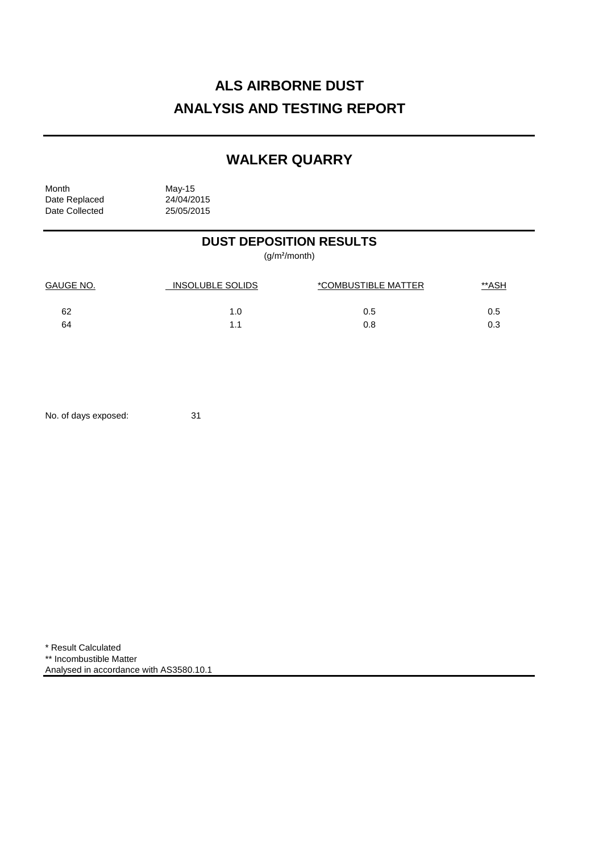# **ALS AIRBORNE DUST ANALYSIS AND TESTING REPORT**

## **WALKER QUARRY**

Month May-15<br>Date Replaced 24/04/2015 Date Replaced 24/04/2015<br>Date Collected 25/05/2015 Date Collected

## **DUST DEPOSITION RESULTS**

(g/m²/month)

| GAUGE NO. | INSOLUBLE SOLIDS | *COMBUSTIBLE MATTER | <u>**ASH</u> |
|-----------|------------------|---------------------|--------------|
| 62        | 1.0              | 0.5                 | 0.5          |
| 64        | 11               | 0.8                 | 0.3          |

No. of days exposed: 31

\* Result Calculated \*\* Incombustible Matter Analysed in accordance with AS3580.10.1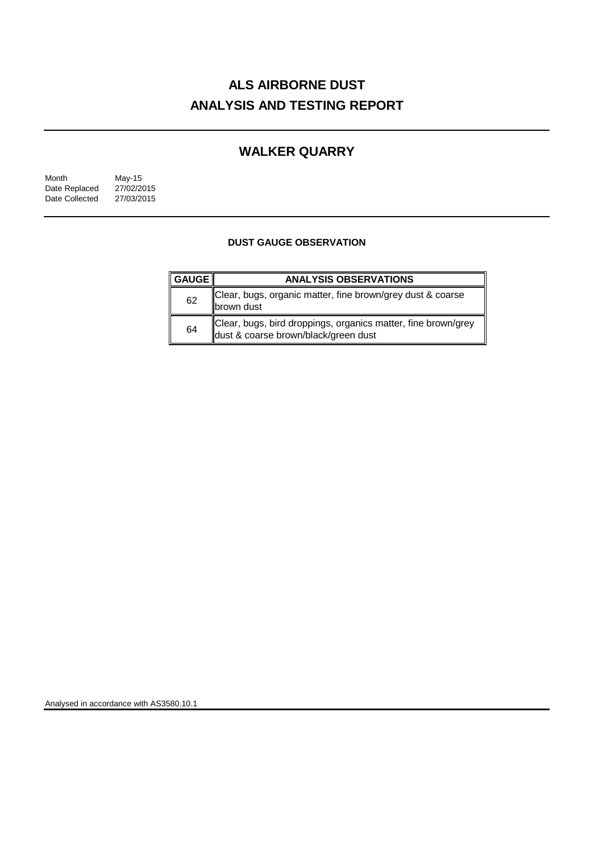# **ALS AIRBORNE DUST ANALYSIS AND TESTING REPORT**

## **WALKER QUARRY**

| Month          | May-15     |
|----------------|------------|
| Date Replaced  | 27/02/2015 |
| Date Collected | 27/03/2015 |

### **DUST GAUGE OBSERVATION**

| ∥ GAUGE I | <b>ANALYSIS OBSERVATIONS</b>                                                                          |
|-----------|-------------------------------------------------------------------------------------------------------|
| 62        | Clear, bugs, organic matter, fine brown/grey dust & coarse<br><b>Ibrown</b> dust                      |
| 64        | Clear, bugs, bird droppings, organics matter, fine brown/grey<br>dust & coarse brown/black/green dust |

Analysed in accordance with AS3580.10.1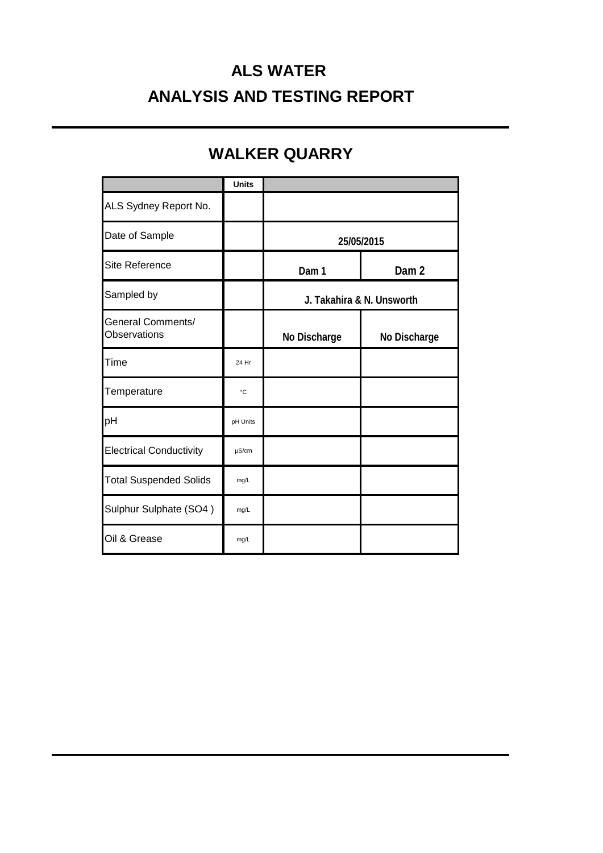# **ALS WATER ANALYSIS AND TESTING REPORT**

## **WALKER QUARRY**

|                                          | <b>Units</b> |                           |                  |
|------------------------------------------|--------------|---------------------------|------------------|
| ALS Sydney Report No.                    |              |                           |                  |
| Date of Sample                           |              | 25/05/2015                |                  |
| Site Reference                           |              | Dam 1                     | Dam <sub>2</sub> |
| Sampled by                               |              | J. Takahira & N. Unsworth |                  |
| <b>General Comments/</b><br>Observations |              | No Discharge              | No Discharge     |
| Time                                     | 24 Hr        |                           |                  |
| Temperature                              | °C           |                           |                  |
| pH                                       | pH Units     |                           |                  |
| <b>Electrical Conductivity</b>           | $\mu$ S/cm   |                           |                  |
| <b>Total Suspended Solids</b>            | mg/L         |                           |                  |
| Sulphur Sulphate (SO4)                   | mg/L         |                           |                  |
| Oil & Grease                             | mg/L         |                           |                  |